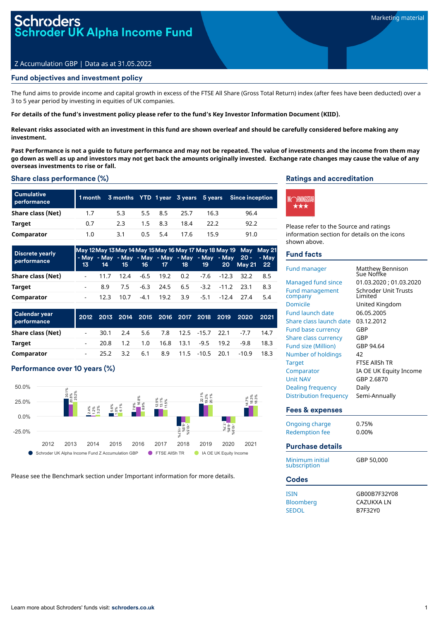# oder UK Alpha Income Fund

# Z Accumulation GBP | Data as at 31.05.2022

# Fund objectives and investment policy

The fund aims to provide income and capital growth in excess of the FTSE All Share (Gross Total Return) index (after fees have been deducted) over a 3 to 5 year period by investing in equities of UK companies.

For details of the fund's investment policy please refer to the fund's Key Investor Information Document (KIID).

Relevant risks associated with an investment in this fund are shown overleaf and should be carefully considered before making any **investment.**

Past Performance is not a quide to future performance and may not be repeated. The value of investments and the income from them may go down as well as up and investors may not get back the amounts originally invested. Exchange rate changes may cause the value of any **overseas investments to rise or fall.**

### Share class performance (%)

| <b>Cumulative</b><br>performance |     |     |                |      |      | 1 month 3 months YTD 1 year 3 years 5 years Since inception |
|----------------------------------|-----|-----|----------------|------|------|-------------------------------------------------------------|
| Share class (Net)                | 1.7 | 5.3 | $5.5\quad 8.5$ | 25.7 | 16.3 | 96.4                                                        |
| Target                           | 0.7 | 2.3 | $1.5$ 8.3      | 18.4 | 22.2 | 92.2                                                        |
| Comparator                       | 1.0 | 3.1 | $0.5$ 5.4      | 17 6 | 15.9 | 91.0                                                        |

| <b>Discrete yearly</b><br>performance |     |           |  |                                     | May 12 May 13 May 14 May 15 May 16 May 17 May 18 May 19 May May 21<br>- May - May - May - May - May - May - May - May 20 - - May<br>13 14 15 16 17 18 19 20 May 21 22 |     |
|---------------------------------------|-----|-----------|--|-------------------------------------|-----------------------------------------------------------------------------------------------------------------------------------------------------------------------|-----|
| Share class (Net)                     |     |           |  |                                     | - 11.7 12.4 -6.5 19.2 0.2 -7.6 -12.3 32.2                                                                                                                             | 8.5 |
| Target                                | 8.9 |           |  | 7.5 -6.3 24.5 6.5 -3.2 -11.2 23.1   |                                                                                                                                                                       | 8.3 |
| Comparator                            |     | 12.3 10.7 |  | $-4.1$ 19.2 3.9 $-5.1$ $-12.4$ 27.4 |                                                                                                                                                                       | 5.4 |

| <b>Calendar year</b><br>performance |          |     |  |                     | 2012 2013 2014 2015 2016 2017 2018 2019 2020 2021 |      |
|-------------------------------------|----------|-----|--|---------------------|---------------------------------------------------|------|
| Share class (Net)                   | 30.1     |     |  |                     | 2.4 5.6 7.8 12.5 -15.7 22.1 -7.7                  | 14.7 |
| Target                              | 20.8     |     |  |                     | -9.8                                              | 18.3 |
| Comparator                          | 25.2 3.2 | 6.1 |  | 8.9 11.5 -10.5 20.1 | -10.9                                             | 18.3 |

# Performance over 10 years (%)



Please see the Benchmark section under Important information for more details.

### Ratings and accreditation



Please refer to the Source and ratings information section for details on the icons shown above.

### Fund facts

| <b>Fund manager</b>               | Matthew Bennison<br>Sue Noffke          |
|-----------------------------------|-----------------------------------------|
| Managed fund since                | 01.03.2020: 01.03.2020                  |
| <b>Fund management</b><br>company | <b>Schroder Unit Trusts</b><br>I imited |
| Domicile                          | United Kingdom                          |
| <b>Fund launch date</b>           | 06.05.2005                              |
| Share class launch date           | 03.12.2012                              |
| <b>Fund base currency</b>         | GBP                                     |
| <b>Share class currency</b>       | GBP                                     |
| <b>Fund size (Million)</b>        | GBP 94.64                               |
| Number of holdings                | 42                                      |
| <b>Target</b>                     | <b>FTSE AllSh TR</b>                    |
| Comparator                        | IA OE UK Equity Income                  |
| <b>Unit NAV</b>                   | GBP 2.6870                              |
| <b>Dealing frequency</b>          | Daily                                   |
| <b>Distribution frequency</b>     | Semi-Annually                           |
| Fees & expenses                   |                                         |
| Ongoing charge                    | 0.75%                                   |
| <b>Redemption fee</b>             | 0.00%                                   |
|                                   |                                         |
| <b>Purchase details</b>           |                                         |
| Minimum initial<br>subscription   | GBP 50,000                              |
| <b>Codes</b>                      |                                         |
| <b>ISIN</b>                       | GB00B7F32Y08                            |
| Bloomberg                         | <b>CAZUKXA LN</b>                       |
| <b>SEDOL</b>                      | B7F32Y0                                 |
|                                   |                                         |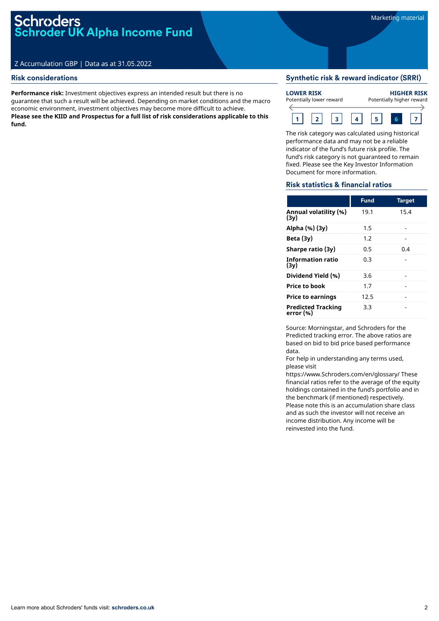# Z Accumulation GBP | Data as at 31.05.2022

# Risk considerations

**Performance risk:** Investment objectives express an intended result but there is no guarantee that such a result will be achieved. Depending on market conditions and the macro economic environment, investment objectives may become more difficult to achieve. **Please see the KIID and Prospectus for a full list of risk considerations applicable to this fund.**

# Synthetic risk & reward indicator (SRRI)



The risk category was calculated using historical performance data and may not be a reliable indicator of the fund's future risk profile. The fund's risk category is not guaranteed to remain fixed. Please see the Key Investor Information Document for more information.

#### Risk statistics & financial ratios

|                                        | <b>Fund</b> | <b>Target</b> |
|----------------------------------------|-------------|---------------|
| Annual volatility (%)<br>(3v)          | 19.1        | 15.4          |
| Alpha (%) (3y)                         | 1.5         |               |
| Beta $(3y)$                            | 1.2         |               |
| Sharpe ratio (3y)                      | 0.5         | 0.4           |
| Information ratio<br>(3v)              | 0.3         |               |
| Dividend Yield (%)                     | 3.6         |               |
| <b>Price to book</b>                   | 1.7         |               |
| <b>Price to earnings</b>               | 12.5        |               |
| <b>Predicted Tracking</b><br>error (%) | 3.3         |               |

Source: Morningstar, and Schroders for the Predicted tracking error. The above ratios are based on bid to bid price based performance data.

For help in understanding any terms used, please visit

https://www.Schroders.com/en/glossary/ These financial ratios refer to the average of the equity holdings contained in the fund's portfolio and in the benchmark (if mentioned) respectively. Please note this is an accumulation share class and as such the investor will not receive an income distribution. Any income will be reinvested into the fund.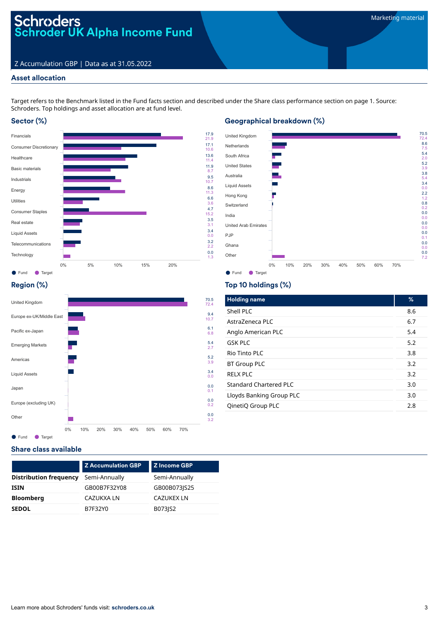# Schroders<br>Schroder UK Alpha Income Fund

# Z Accumulation GBP | Data as at 31.05.2022

# Asset allocation

Target refers to the Benchmark listed in the Fund facts section and described under the Share class performance section on page 1. Source: Schroders. Top holdings and asset allocation are at fund level.

# Sector (%)



# Geographical breakdown (%)



# Region (%)



# Top 10 holdings (%)

| <b>Holding name</b>      | %   |
|--------------------------|-----|
| Shell PLC                | 8.6 |
| Astra7eneca PLC          | 6.7 |
| Anglo American PLC       | 5.4 |
| <b>GSK PLC</b>           | 5.2 |
| Rio Tinto PI C           | 3.8 |
| <b>BT Group PLC</b>      | 3.2 |
| <b>RELX PLC</b>          | 3.2 |
| Standard Chartered PLC   | 3.0 |
| Lloyds Banking Group PLC | 3.0 |
| QinetiQ Group PLC        | 2.8 |

# Share class available

|                               | <b>Z Accumulation GBP</b> | Z Income GBP      |
|-------------------------------|---------------------------|-------------------|
| <b>Distribution frequency</b> | Semi-Annually             | Semi-Annually     |
| <b>ISIN</b>                   | GB00B7F32Y08              | GB00B073JS25      |
| <b>Bloomberg</b>              | CAZUKXA LN                | <b>CAZUKEX LN</b> |
| <b>SEDOL</b>                  | B7F32Y0                   | B073JS2           |